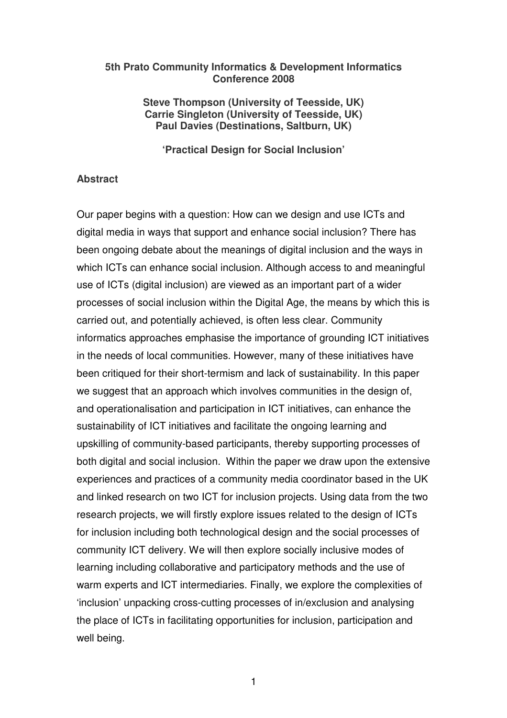#### **5th Prato Community Informatics & Development Informatics Conference 2008**

**Steve Thompson (University of Teesside, UK) Carrie Singleton (University of Teesside, UK) Paul Davies (Destinations, Saltburn, UK)** 

**'Practical Design for Social Inclusion'** 

#### **Abstract**

Our paper begins with a question: How can we design and use ICTs and digital media in ways that support and enhance social inclusion? There has been ongoing debate about the meanings of digital inclusion and the ways in which ICTs can enhance social inclusion. Although access to and meaningful use of ICTs (digital inclusion) are viewed as an important part of a wider processes of social inclusion within the Digital Age, the means by which this is carried out, and potentially achieved, is often less clear. Community informatics approaches emphasise the importance of grounding ICT initiatives in the needs of local communities. However, many of these initiatives have been critiqued for their short-termism and lack of sustainability. In this paper we suggest that an approach which involves communities in the design of, and operationalisation and participation in ICT initiatives, can enhance the sustainability of ICT initiatives and facilitate the ongoing learning and upskilling of community-based participants, thereby supporting processes of both digital and social inclusion. Within the paper we draw upon the extensive experiences and practices of a community media coordinator based in the UK and linked research on two ICT for inclusion projects. Using data from the two research projects, we will firstly explore issues related to the design of ICTs for inclusion including both technological design and the social processes of community ICT delivery. We will then explore socially inclusive modes of learning including collaborative and participatory methods and the use of warm experts and ICT intermediaries. Finally, we explore the complexities of 'inclusion' unpacking cross-cutting processes of in/exclusion and analysing the place of ICTs in facilitating opportunities for inclusion, participation and well being.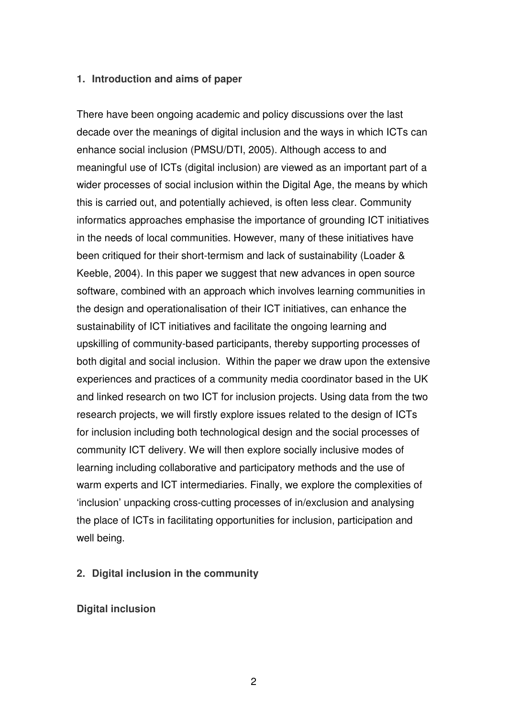#### **1. Introduction and aims of paper**

There have been ongoing academic and policy discussions over the last decade over the meanings of digital inclusion and the ways in which ICTs can enhance social inclusion (PMSU/DTI, 2005). Although access to and meaningful use of ICTs (digital inclusion) are viewed as an important part of a wider processes of social inclusion within the Digital Age, the means by which this is carried out, and potentially achieved, is often less clear. Community informatics approaches emphasise the importance of grounding ICT initiatives in the needs of local communities. However, many of these initiatives have been critiqued for their short-termism and lack of sustainability (Loader & Keeble, 2004). In this paper we suggest that new advances in open source software, combined with an approach which involves learning communities in the design and operationalisation of their ICT initiatives, can enhance the sustainability of ICT initiatives and facilitate the ongoing learning and upskilling of community-based participants, thereby supporting processes of both digital and social inclusion. Within the paper we draw upon the extensive experiences and practices of a community media coordinator based in the UK and linked research on two ICT for inclusion projects. Using data from the two research projects, we will firstly explore issues related to the design of ICTs for inclusion including both technological design and the social processes of community ICT delivery. We will then explore socially inclusive modes of learning including collaborative and participatory methods and the use of warm experts and ICT intermediaries. Finally, we explore the complexities of 'inclusion' unpacking cross-cutting processes of in/exclusion and analysing the place of ICTs in facilitating opportunities for inclusion, participation and well being.

### **2. Digital inclusion in the community**

### **Digital inclusion**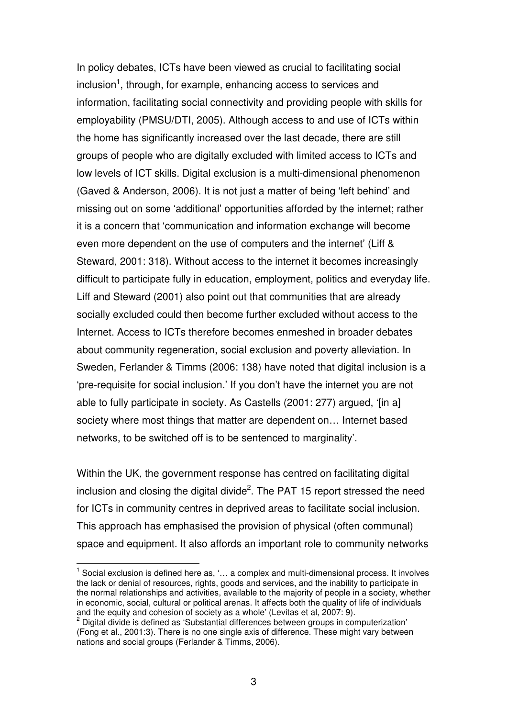In policy debates, ICTs have been viewed as crucial to facilitating social inclusion<sup>1</sup>, through, for example, enhancing access to services and information, facilitating social connectivity and providing people with skills for employability (PMSU/DTI, 2005). Although access to and use of ICTs within the home has significantly increased over the last decade, there are still groups of people who are digitally excluded with limited access to ICTs and low levels of ICT skills. Digital exclusion is a multi-dimensional phenomenon (Gaved & Anderson, 2006). It is not just a matter of being 'left behind' and missing out on some 'additional' opportunities afforded by the internet; rather it is a concern that 'communication and information exchange will become even more dependent on the use of computers and the internet' (Liff & Steward, 2001: 318). Without access to the internet it becomes increasingly difficult to participate fully in education, employment, politics and everyday life. Liff and Steward (2001) also point out that communities that are already socially excluded could then become further excluded without access to the Internet. Access to ICTs therefore becomes enmeshed in broader debates about community regeneration, social exclusion and poverty alleviation. In Sweden, Ferlander & Timms (2006: 138) have noted that digital inclusion is a 'pre-requisite for social inclusion.' If you don't have the internet you are not able to fully participate in society. As Castells (2001: 277) argued, '[in a] society where most things that matter are dependent on… Internet based networks, to be switched off is to be sentenced to marginality'.

Within the UK, the government response has centred on facilitating digital inclusion and closing the digital divide<sup>2</sup>. The PAT 15 report stressed the need for ICTs in community centres in deprived areas to facilitate social inclusion. This approach has emphasised the provision of physical (often communal) space and equipment. It also affords an important role to community networks

 $\overline{1}$ 

 $1$  Social exclusion is defined here as, '... a complex and multi-dimensional process. It involves the lack or denial of resources, rights, goods and services, and the inability to participate in the normal relationships and activities, available to the majority of people in a society, whether in economic, social, cultural or political arenas. It affects both the quality of life of individuals and the equity and cohesion of society as a whole' (Levitas et al, 2007: 9).

<sup>2</sup> Digital divide is defined as 'Substantial differences between groups in computerization' (Fong et al., 2001:3). There is no one single axis of difference. These might vary between nations and social groups (Ferlander & Timms, 2006).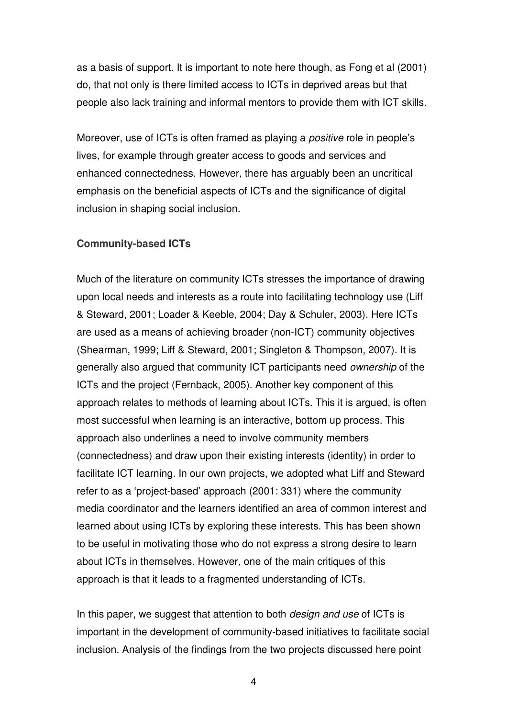as a basis of support. It is important to note here though, as Fong et al (2001) do, that not only is there limited access to ICTs in deprived areas but that people also lack training and informal mentors to provide them with ICT skills.

Moreover, use of ICTs is often framed as playing a *positive* role in people's lives, for example through greater access to goods and services and enhanced connectedness. However, there has arguably been an uncritical emphasis on the beneficial aspects of ICTs and the significance of digital inclusion in shaping social inclusion.

#### **Community-based ICTs**

Much of the literature on community ICTs stresses the importance of drawing upon local needs and interests as a route into facilitating technology use (Liff & Steward, 2001; Loader & Keeble, 2004; Day & Schuler, 2003). Here ICTs are used as a means of achieving broader (non-ICT) community objectives (Shearman, 1999; Liff & Steward, 2001; Singleton & Thompson, 2007). It is generally also argued that community ICT participants need ownership of the ICTs and the project (Fernback, 2005). Another key component of this approach relates to methods of learning about ICTs. This it is argued, is often most successful when learning is an interactive, bottom up process. This approach also underlines a need to involve community members (connectedness) and draw upon their existing interests (identity) in order to facilitate ICT learning. In our own projects, we adopted what Liff and Steward refer to as a 'project-based' approach (2001: 331) where the community media coordinator and the learners identified an area of common interest and learned about using ICTs by exploring these interests. This has been shown to be useful in motivating those who do not express a strong desire to learn about ICTs in themselves. However, one of the main critiques of this approach is that it leads to a fragmented understanding of ICTs.

In this paper, we suggest that attention to both *design and use* of ICTs is important in the development of community-based initiatives to facilitate social inclusion. Analysis of the findings from the two projects discussed here point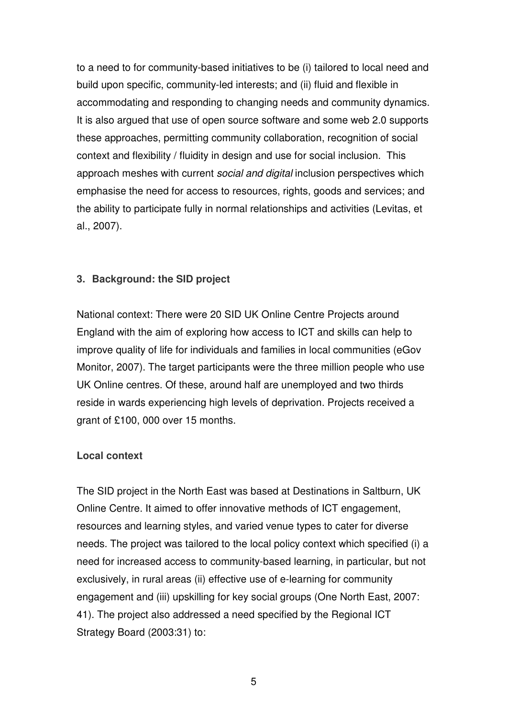to a need to for community-based initiatives to be (i) tailored to local need and build upon specific, community-led interests; and (ii) fluid and flexible in accommodating and responding to changing needs and community dynamics. It is also argued that use of open source software and some web 2.0 supports these approaches, permitting community collaboration, recognition of social context and flexibility / fluidity in design and use for social inclusion. This approach meshes with current social and digital inclusion perspectives which emphasise the need for access to resources, rights, goods and services; and the ability to participate fully in normal relationships and activities (Levitas, et al., 2007).

## **3. Background: the SID project**

National context: There were 20 SID UK Online Centre Projects around England with the aim of exploring how access to ICT and skills can help to improve quality of life for individuals and families in local communities (eGov Monitor, 2007). The target participants were the three million people who use UK Online centres. Of these, around half are unemployed and two thirds reside in wards experiencing high levels of deprivation. Projects received a grant of £100, 000 over 15 months.

### **Local context**

The SID project in the North East was based at Destinations in Saltburn, UK Online Centre. It aimed to offer innovative methods of ICT engagement, resources and learning styles, and varied venue types to cater for diverse needs. The project was tailored to the local policy context which specified (i) a need for increased access to community-based learning, in particular, but not exclusively, in rural areas (ii) effective use of e-learning for community engagement and (iii) upskilling for key social groups (One North East, 2007: 41). The project also addressed a need specified by the Regional ICT Strategy Board (2003:31) to: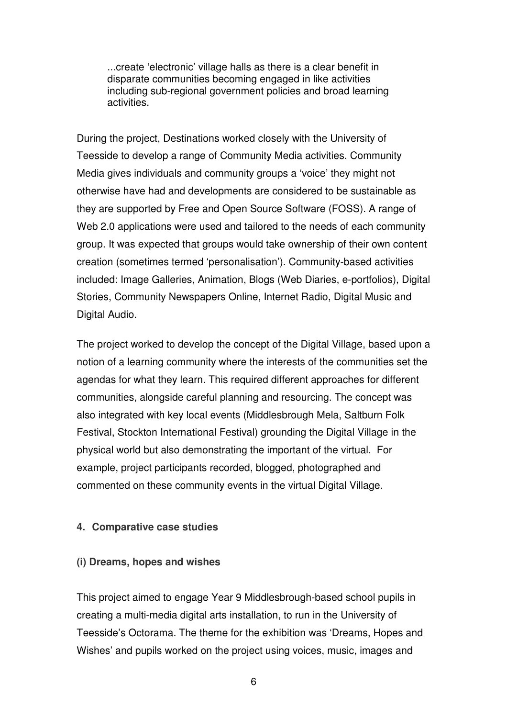...create 'electronic' village halls as there is a clear benefit in disparate communities becoming engaged in like activities including sub-regional government policies and broad learning activities.

During the project, Destinations worked closely with the University of Teesside to develop a range of Community Media activities. Community Media gives individuals and community groups a 'voice' they might not otherwise have had and developments are considered to be sustainable as they are supported by Free and Open Source Software (FOSS). A range of Web 2.0 applications were used and tailored to the needs of each community group. It was expected that groups would take ownership of their own content creation (sometimes termed 'personalisation'). Community-based activities included: Image Galleries, Animation, Blogs (Web Diaries, e-portfolios), Digital Stories, Community Newspapers Online, Internet Radio, Digital Music and Digital Audio.

The project worked to develop the concept of the Digital Village, based upon a notion of a learning community where the interests of the communities set the agendas for what they learn. This required different approaches for different communities, alongside careful planning and resourcing. The concept was also integrated with key local events (Middlesbrough Mela, Saltburn Folk Festival, Stockton International Festival) grounding the Digital Village in the physical world but also demonstrating the important of the virtual. For example, project participants recorded, blogged, photographed and commented on these community events in the virtual Digital Village.

### **4. Comparative case studies**

#### **(i) Dreams, hopes and wishes**

This project aimed to engage Year 9 Middlesbrough-based school pupils in creating a multi-media digital arts installation, to run in the University of Teesside's Octorama. The theme for the exhibition was 'Dreams, Hopes and Wishes' and pupils worked on the project using voices, music, images and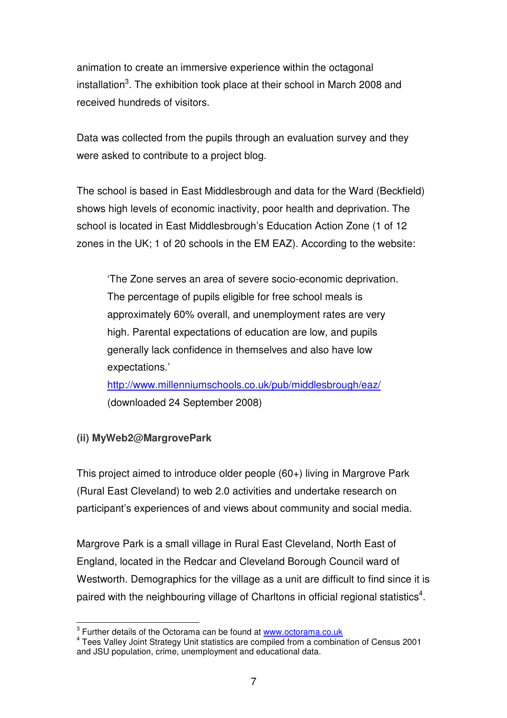animation to create an immersive experience within the octagonal installation<sup>3</sup>. The exhibition took place at their school in March 2008 and received hundreds of visitors.

Data was collected from the pupils through an evaluation survey and they were asked to contribute to a project blog.

The school is based in East Middlesbrough and data for the Ward (Beckfield) shows high levels of economic inactivity, poor health and deprivation. The school is located in East Middlesbrough's Education Action Zone (1 of 12 zones in the UK; 1 of 20 schools in the EM EAZ). According to the website:

'The Zone serves an area of severe socio-economic deprivation. The percentage of pupils eligible for free school meals is approximately 60% overall, and unemployment rates are very high. Parental expectations of education are low, and pupils generally lack confidence in themselves and also have low expectations.'

http://www.millenniumschools.co.uk/pub/middlesbrough/eaz/ (downloaded 24 September 2008)

# **(ii) MyWeb2@MargrovePark**

This project aimed to introduce older people (60+) living in Margrove Park (Rural East Cleveland) to web 2.0 activities and undertake research on participant's experiences of and views about community and social media.

Margrove Park is a small village in Rural East Cleveland, North East of England, located in the Redcar and Cleveland Borough Council ward of Westworth. Demographics for the village as a unit are difficult to find since it is paired with the neighbouring village of Charltons in official regional statistics<sup>4</sup>.

<sup>&</sup>lt;sup>3</sup><br><sup>3</sup> Further details of the Octorama can be found at www.octorama.co.uk

<sup>&</sup>lt;sup>4</sup> Tees Valley Joint Strategy Unit statistics are compiled from a combination of Census 2001 and JSU population, crime, unemployment and educational data.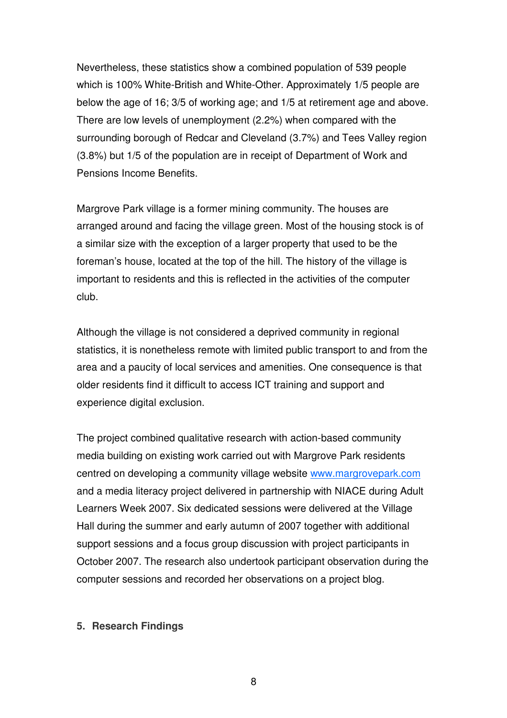Nevertheless, these statistics show a combined population of 539 people which is 100% White-British and White-Other. Approximately 1/5 people are below the age of 16; 3/5 of working age; and 1/5 at retirement age and above. There are low levels of unemployment (2.2%) when compared with the surrounding borough of Redcar and Cleveland (3.7%) and Tees Valley region (3.8%) but 1/5 of the population are in receipt of Department of Work and Pensions Income Benefits.

Margrove Park village is a former mining community. The houses are arranged around and facing the village green. Most of the housing stock is of a similar size with the exception of a larger property that used to be the foreman's house, located at the top of the hill. The history of the village is important to residents and this is reflected in the activities of the computer club.

Although the village is not considered a deprived community in regional statistics, it is nonetheless remote with limited public transport to and from the area and a paucity of local services and amenities. One consequence is that older residents find it difficult to access ICT training and support and experience digital exclusion.

The project combined qualitative research with action-based community media building on existing work carried out with Margrove Park residents centred on developing a community village website www.margrovepark.com and a media literacy project delivered in partnership with NIACE during Adult Learners Week 2007. Six dedicated sessions were delivered at the Village Hall during the summer and early autumn of 2007 together with additional support sessions and a focus group discussion with project participants in October 2007. The research also undertook participant observation during the computer sessions and recorded her observations on a project blog.

#### **5. Research Findings**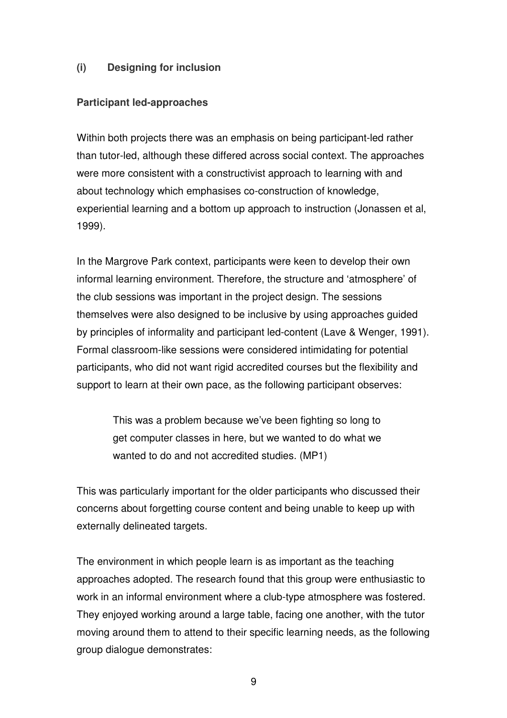# **(i) Designing for inclusion**

### **Participant led-approaches**

Within both projects there was an emphasis on being participant-led rather than tutor-led, although these differed across social context. The approaches were more consistent with a constructivist approach to learning with and about technology which emphasises co-construction of knowledge, experiential learning and a bottom up approach to instruction (Jonassen et al, 1999).

In the Margrove Park context, participants were keen to develop their own informal learning environment. Therefore, the structure and 'atmosphere' of the club sessions was important in the project design. The sessions themselves were also designed to be inclusive by using approaches guided by principles of informality and participant led-content (Lave & Wenger, 1991). Formal classroom-like sessions were considered intimidating for potential participants, who did not want rigid accredited courses but the flexibility and support to learn at their own pace, as the following participant observes:

> This was a problem because we've been fighting so long to get computer classes in here, but we wanted to do what we wanted to do and not accredited studies. (MP1)

This was particularly important for the older participants who discussed their concerns about forgetting course content and being unable to keep up with externally delineated targets.

The environment in which people learn is as important as the teaching approaches adopted. The research found that this group were enthusiastic to work in an informal environment where a club-type atmosphere was fostered. They enjoyed working around a large table, facing one another, with the tutor moving around them to attend to their specific learning needs, as the following group dialogue demonstrates: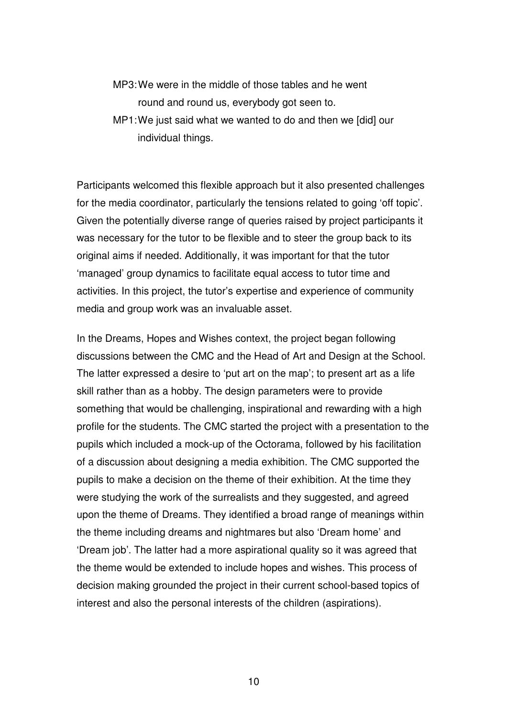- MP3: We were in the middle of those tables and he went round and round us, everybody got seen to.
- MP1: We just said what we wanted to do and then we [did] our individual things.

Participants welcomed this flexible approach but it also presented challenges for the media coordinator, particularly the tensions related to going 'off topic'. Given the potentially diverse range of queries raised by project participants it was necessary for the tutor to be flexible and to steer the group back to its original aims if needed. Additionally, it was important for that the tutor 'managed' group dynamics to facilitate equal access to tutor time and activities. In this project, the tutor's expertise and experience of community media and group work was an invaluable asset.

In the Dreams, Hopes and Wishes context, the project began following discussions between the CMC and the Head of Art and Design at the School. The latter expressed a desire to 'put art on the map'; to present art as a life skill rather than as a hobby. The design parameters were to provide something that would be challenging, inspirational and rewarding with a high profile for the students. The CMC started the project with a presentation to the pupils which included a mock-up of the Octorama, followed by his facilitation of a discussion about designing a media exhibition. The CMC supported the pupils to make a decision on the theme of their exhibition. At the time they were studying the work of the surrealists and they suggested, and agreed upon the theme of Dreams. They identified a broad range of meanings within the theme including dreams and nightmares but also 'Dream home' and 'Dream job'. The latter had a more aspirational quality so it was agreed that the theme would be extended to include hopes and wishes. This process of decision making grounded the project in their current school-based topics of interest and also the personal interests of the children (aspirations).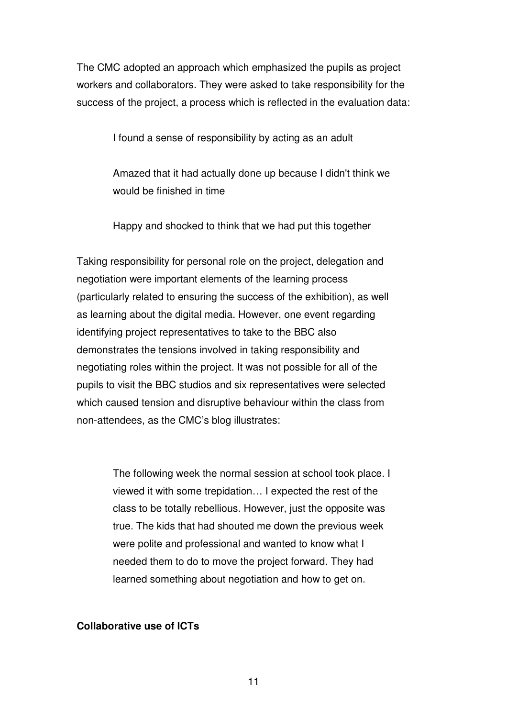The CMC adopted an approach which emphasized the pupils as project workers and collaborators. They were asked to take responsibility for the success of the project, a process which is reflected in the evaluation data:

I found a sense of responsibility by acting as an adult

Amazed that it had actually done up because I didn't think we would be finished in time

Happy and shocked to think that we had put this together

Taking responsibility for personal role on the project, delegation and negotiation were important elements of the learning process (particularly related to ensuring the success of the exhibition), as well as learning about the digital media. However, one event regarding identifying project representatives to take to the BBC also demonstrates the tensions involved in taking responsibility and negotiating roles within the project. It was not possible for all of the pupils to visit the BBC studios and six representatives were selected which caused tension and disruptive behaviour within the class from non-attendees, as the CMC's blog illustrates:

> The following week the normal session at school took place. I viewed it with some trepidation… I expected the rest of the class to be totally rebellious. However, just the opposite was true. The kids that had shouted me down the previous week were polite and professional and wanted to know what I needed them to do to move the project forward. They had learned something about negotiation and how to get on.

### **Collaborative use of ICTs**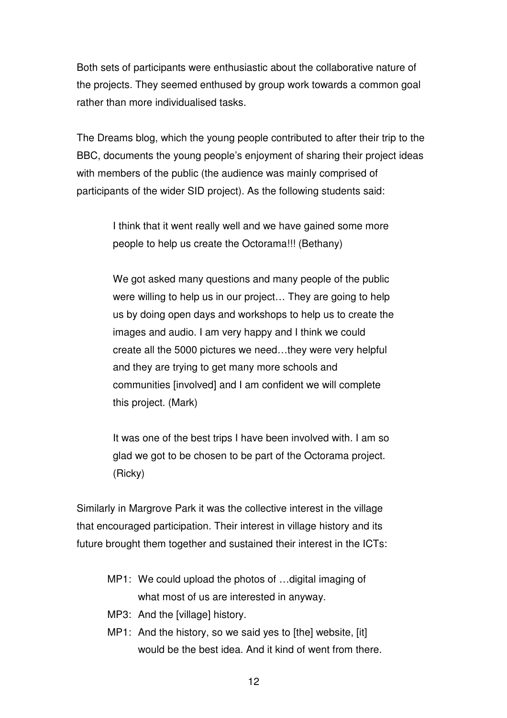Both sets of participants were enthusiastic about the collaborative nature of the projects. They seemed enthused by group work towards a common goal rather than more individualised tasks.

The Dreams blog, which the young people contributed to after their trip to the BBC, documents the young people's enjoyment of sharing their project ideas with members of the public (the audience was mainly comprised of participants of the wider SID project). As the following students said:

> I think that it went really well and we have gained some more people to help us create the Octorama!!! (Bethany)

We got asked many questions and many people of the public were willing to help us in our project… They are going to help us by doing open days and workshops to help us to create the images and audio. I am very happy and I think we could create all the 5000 pictures we need…they were very helpful and they are trying to get many more schools and communities [involved] and I am confident we will complete this project. (Mark)

It was one of the best trips I have been involved with. I am so glad we got to be chosen to be part of the Octorama project. (Ricky)

Similarly in Margrove Park it was the collective interest in the village that encouraged participation. Their interest in village history and its future brought them together and sustained their interest in the ICTs:

- MP1: We could upload the photos of …digital imaging of what most of us are interested in anyway.
- MP3: And the [village] history.
- MP1: And the history, so we said yes to [the] website, [it] would be the best idea. And it kind of went from there.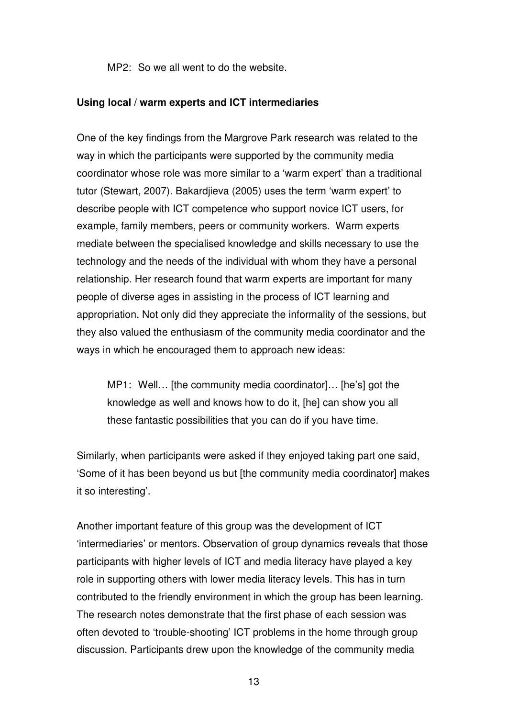MP2: So we all went to do the website.

#### **Using local / warm experts and ICT intermediaries**

One of the key findings from the Margrove Park research was related to the way in which the participants were supported by the community media coordinator whose role was more similar to a 'warm expert' than a traditional tutor (Stewart, 2007). Bakardjieva (2005) uses the term 'warm expert' to describe people with ICT competence who support novice ICT users, for example, family members, peers or community workers. Warm experts mediate between the specialised knowledge and skills necessary to use the technology and the needs of the individual with whom they have a personal relationship. Her research found that warm experts are important for many people of diverse ages in assisting in the process of ICT learning and appropriation. Not only did they appreciate the informality of the sessions, but they also valued the enthusiasm of the community media coordinator and the ways in which he encouraged them to approach new ideas:

MP1: Well… [the community media coordinator]… [he's] got the knowledge as well and knows how to do it, [he] can show you all these fantastic possibilities that you can do if you have time.

Similarly, when participants were asked if they enjoyed taking part one said, 'Some of it has been beyond us but [the community media coordinator] makes it so interesting'.

Another important feature of this group was the development of ICT 'intermediaries' or mentors. Observation of group dynamics reveals that those participants with higher levels of ICT and media literacy have played a key role in supporting others with lower media literacy levels. This has in turn contributed to the friendly environment in which the group has been learning. The research notes demonstrate that the first phase of each session was often devoted to 'trouble-shooting' ICT problems in the home through group discussion. Participants drew upon the knowledge of the community media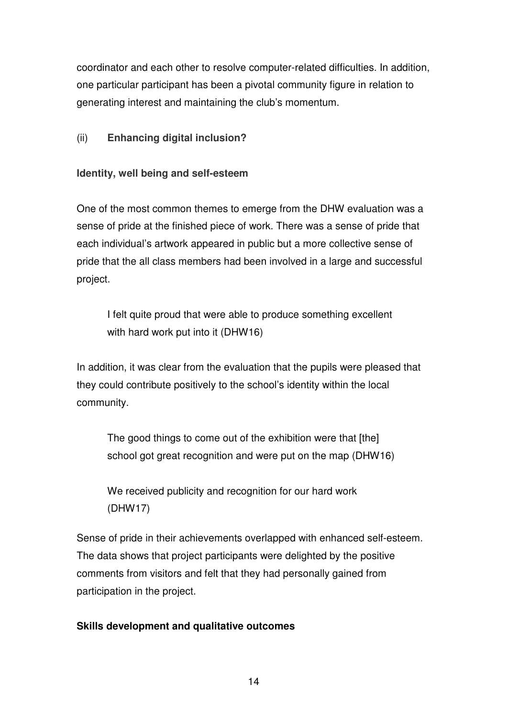coordinator and each other to resolve computer-related difficulties. In addition, one particular participant has been a pivotal community figure in relation to generating interest and maintaining the club's momentum.

# (ii) **Enhancing digital inclusion?**

## **Identity, well being and self-esteem**

One of the most common themes to emerge from the DHW evaluation was a sense of pride at the finished piece of work. There was a sense of pride that each individual's artwork appeared in public but a more collective sense of pride that the all class members had been involved in a large and successful project.

I felt quite proud that were able to produce something excellent with hard work put into it (DHW16)

In addition, it was clear from the evaluation that the pupils were pleased that they could contribute positively to the school's identity within the local community.

The good things to come out of the exhibition were that [the] school got great recognition and were put on the map (DHW16)

We received publicity and recognition for our hard work (DHW17)

Sense of pride in their achievements overlapped with enhanced self-esteem. The data shows that project participants were delighted by the positive comments from visitors and felt that they had personally gained from participation in the project.

# **Skills development and qualitative outcomes**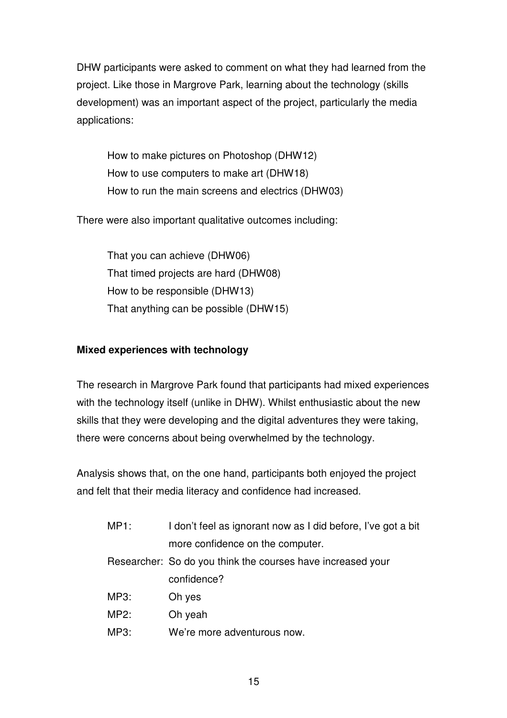DHW participants were asked to comment on what they had learned from the project. Like those in Margrove Park, learning about the technology (skills development) was an important aspect of the project, particularly the media applications:

How to make pictures on Photoshop (DHW12) How to use computers to make art (DHW18) How to run the main screens and electrics (DHW03)

There were also important qualitative outcomes including:

That you can achieve (DHW06) That timed projects are hard (DHW08) How to be responsible (DHW13) That anything can be possible (DHW15)

# **Mixed experiences with technology**

The research in Margrove Park found that participants had mixed experiences with the technology itself (unlike in DHW). Whilst enthusiastic about the new skills that they were developing and the digital adventures they were taking, there were concerns about being overwhelmed by the technology.

Analysis shows that, on the one hand, participants both enjoyed the project and felt that their media literacy and confidence had increased.

| MP1: | I don't feel as ignorant now as I did before, I've got a bit |
|------|--------------------------------------------------------------|
|      | more confidence on the computer.                             |
|      | Researcher: So do you think the courses have increased your  |
|      | confidence?                                                  |
| MP3: | Oh yes                                                       |
| MP2: | Oh yeah                                                      |
| MP3: | We're more adventurous now.                                  |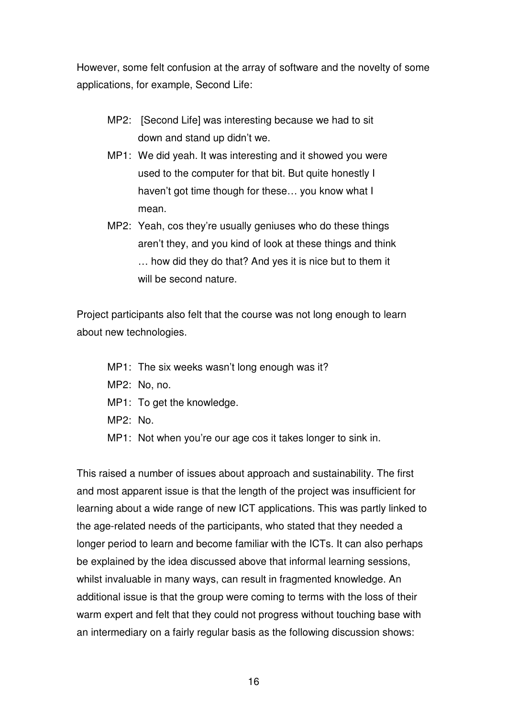However, some felt confusion at the array of software and the novelty of some applications, for example, Second Life:

- MP2: [Second Life] was interesting because we had to sit down and stand up didn't we.
- MP1: We did yeah. It was interesting and it showed you were used to the computer for that bit. But quite honestly I haven't got time though for these… you know what I mean.
- MP2: Yeah, cos they're usually geniuses who do these things aren't they, and you kind of look at these things and think … how did they do that? And yes it is nice but to them it will be second nature.

Project participants also felt that the course was not long enough to learn about new technologies.

- MP1: The six weeks wasn't long enough was it?
- MP2: No, no.
- MP1: To get the knowledge.
- MP2: No.
- MP1: Not when you're our age cos it takes longer to sink in.

This raised a number of issues about approach and sustainability. The first and most apparent issue is that the length of the project was insufficient for learning about a wide range of new ICT applications. This was partly linked to the age-related needs of the participants, who stated that they needed a longer period to learn and become familiar with the ICTs. It can also perhaps be explained by the idea discussed above that informal learning sessions, whilst invaluable in many ways, can result in fragmented knowledge. An additional issue is that the group were coming to terms with the loss of their warm expert and felt that they could not progress without touching base with an intermediary on a fairly regular basis as the following discussion shows: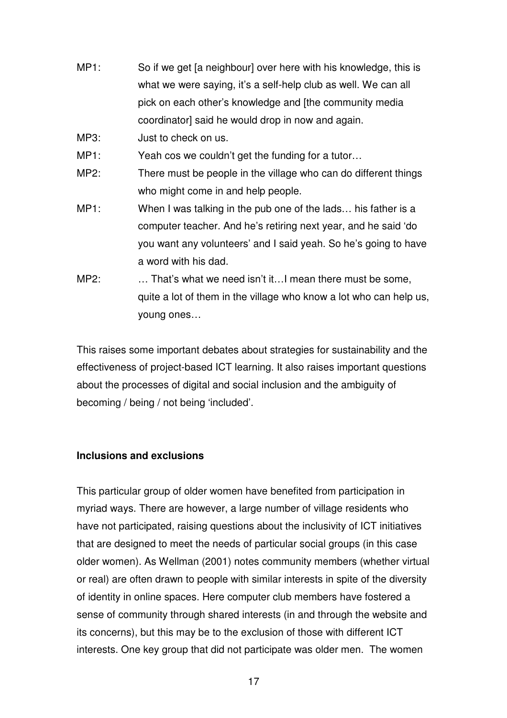- MP1: So if we get [a neighbour] over here with his knowledge, this is what we were saying, it's a self-help club as well. We can all pick on each other's knowledge and [the community media coordinator] said he would drop in now and again.
- MP3: Just to check on us.
- MP1: Yeah cos we couldn't get the funding for a tutor...
- MP2: There must be people in the village who can do different things who might come in and help people.
- MP1: When I was talking in the pub one of the lads... his father is a computer teacher. And he's retiring next year, and he said 'do you want any volunteers' and I said yeah. So he's going to have a word with his dad.
- MP2: ... That's what we need isn't it... I mean there must be some, quite a lot of them in the village who know a lot who can help us, young ones…

This raises some important debates about strategies for sustainability and the effectiveness of project-based ICT learning. It also raises important questions about the processes of digital and social inclusion and the ambiguity of becoming / being / not being 'included'.

# **Inclusions and exclusions**

This particular group of older women have benefited from participation in myriad ways. There are however, a large number of village residents who have not participated, raising questions about the inclusivity of ICT initiatives that are designed to meet the needs of particular social groups (in this case older women). As Wellman (2001) notes community members (whether virtual or real) are often drawn to people with similar interests in spite of the diversity of identity in online spaces. Here computer club members have fostered a sense of community through shared interests (in and through the website and its concerns), but this may be to the exclusion of those with different ICT interests. One key group that did not participate was older men. The women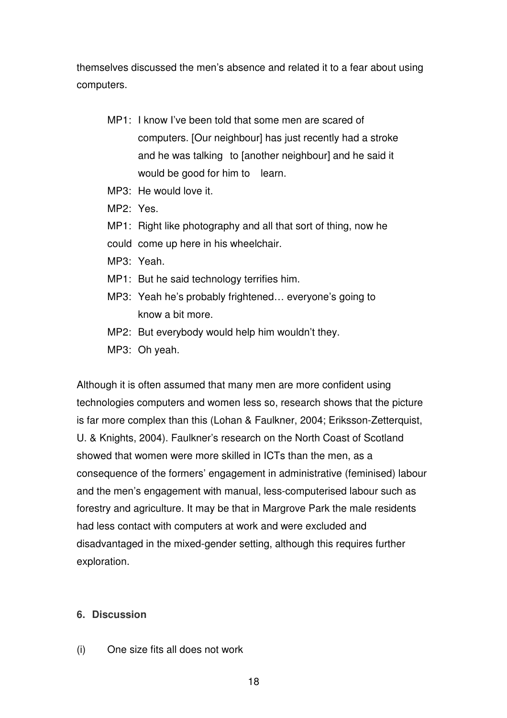themselves discussed the men's absence and related it to a fear about using computers.

- MP1: I know I've been told that some men are scared of computers. [Our neighbour] has just recently had a stroke and he was talking to [another neighbour] and he said it would be good for him to learn.
- MP3: He would love it.
- MP2: Yes.
- MP1: Right like photography and all that sort of thing, now he
- could come up here in his wheelchair.
- MP3: Yeah.
- MP1: But he said technology terrifies him.
- MP3: Yeah he's probably frightened… everyone's going to know a bit more.
- MP2: But everybody would help him wouldn't they.
- MP3: Oh yeah.

Although it is often assumed that many men are more confident using technologies computers and women less so, research shows that the picture is far more complex than this (Lohan & Faulkner, 2004; Eriksson-Zetterquist, U. & Knights, 2004). Faulkner's research on the North Coast of Scotland showed that women were more skilled in ICTs than the men, as a consequence of the formers' engagement in administrative (feminised) labour and the men's engagement with manual, less-computerised labour such as forestry and agriculture. It may be that in Margrove Park the male residents had less contact with computers at work and were excluded and disadvantaged in the mixed-gender setting, although this requires further exploration.

### **6. Discussion**

(i) One size fits all does not work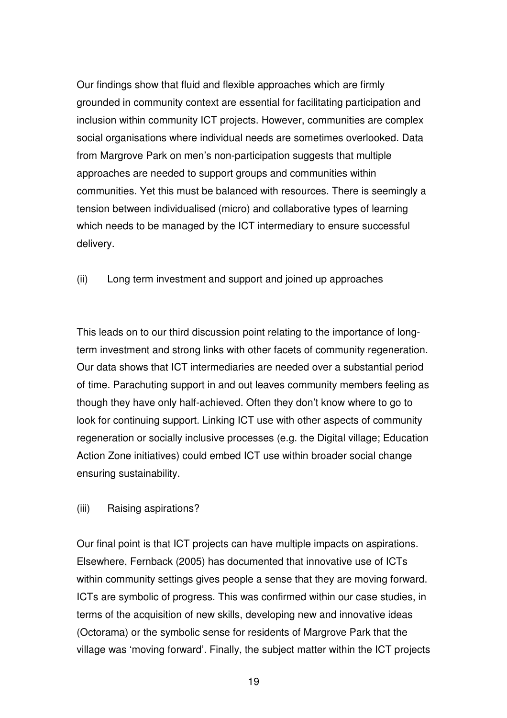Our findings show that fluid and flexible approaches which are firmly grounded in community context are essential for facilitating participation and inclusion within community ICT projects. However, communities are complex social organisations where individual needs are sometimes overlooked. Data from Margrove Park on men's non-participation suggests that multiple approaches are needed to support groups and communities within communities. Yet this must be balanced with resources. There is seemingly a tension between individualised (micro) and collaborative types of learning which needs to be managed by the ICT intermediary to ensure successful delivery.

(ii) Long term investment and support and joined up approaches

This leads on to our third discussion point relating to the importance of longterm investment and strong links with other facets of community regeneration. Our data shows that ICT intermediaries are needed over a substantial period of time. Parachuting support in and out leaves community members feeling as though they have only half-achieved. Often they don't know where to go to look for continuing support. Linking ICT use with other aspects of community regeneration or socially inclusive processes (e.g. the Digital village; Education Action Zone initiatives) could embed ICT use within broader social change ensuring sustainability.

# (iii) Raising aspirations?

Our final point is that ICT projects can have multiple impacts on aspirations. Elsewhere, Fernback (2005) has documented that innovative use of ICTs within community settings gives people a sense that they are moving forward. ICTs are symbolic of progress. This was confirmed within our case studies, in terms of the acquisition of new skills, developing new and innovative ideas (Octorama) or the symbolic sense for residents of Margrove Park that the village was 'moving forward'. Finally, the subject matter within the ICT projects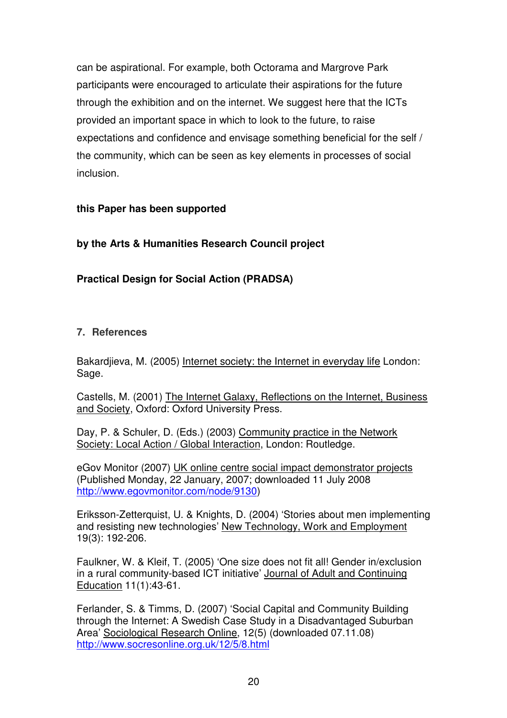can be aspirational. For example, both Octorama and Margrove Park participants were encouraged to articulate their aspirations for the future through the exhibition and on the internet. We suggest here that the ICTs provided an important space in which to look to the future, to raise expectations and confidence and envisage something beneficial for the self / the community, which can be seen as key elements in processes of social inclusion.

# **this Paper has been supported**

# **by the Arts & Humanities Research Council project**

# **Practical Design for Social Action (PRADSA)**

## **7. References**

Bakardjieva, M. (2005) Internet society: the Internet in everyday life London: Sage.

Castells, M. (2001) The Internet Galaxy, Reflections on the Internet, Business and Society, Oxford: Oxford University Press.

Day, P. & Schuler, D. (Eds.) (2003) Community practice in the Network Society: Local Action / Global Interaction, London: Routledge.

eGov Monitor (2007) UK online centre social impact demonstrator projects (Published Monday, 22 January, 2007; downloaded 11 July 2008 http://www.egovmonitor.com/node/9130)

Eriksson-Zetterquist, U. & Knights, D. (2004) 'Stories about men implementing and resisting new technologies' New Technology, Work and Employment 19(3): 192-206.

Faulkner, W. & Kleif, T. (2005) 'One size does not fit all! Gender in/exclusion in a rural community-based ICT initiative' Journal of Adult and Continuing Education 11(1):43-61.

Ferlander, S. & Timms, D. (2007) 'Social Capital and Community Building through the Internet: A Swedish Case Study in a Disadvantaged Suburban Area' Sociological Research Online, 12(5) (downloaded 07.11.08) http://www.socresonline.org.uk/12/5/8.html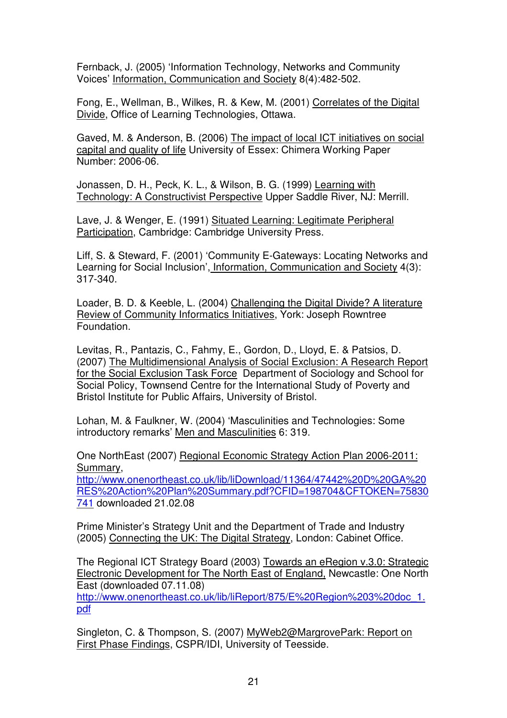Fernback, J. (2005) 'Information Technology, Networks and Community Voices' Information, Communication and Society 8(4):482-502.

Fong, E., Wellman, B., Wilkes, R. & Kew, M. (2001) Correlates of the Digital Divide, Office of Learning Technologies, Ottawa.

Gaved, M. & Anderson, B. (2006) The impact of local ICT initiatives on social capital and quality of life University of Essex: Chimera Working Paper Number: 2006-06.

Jonassen, D. H., Peck, K. L., & Wilson, B. G. (1999) Learning with Technology: A Constructivist Perspective Upper Saddle River, NJ: Merrill.

Lave. J. & Wenger, E. (1991) Situated Learning: Legitimate Peripheral Participation, Cambridge: Cambridge University Press.

Liff, S. & Steward, F. (2001) 'Community E-Gateways: Locating Networks and Learning for Social Inclusion', Information, Communication and Society 4(3): 317-340.

Loader, B. D. & Keeble, L. (2004) Challenging the Digital Divide? A literature Review of Community Informatics Initiatives, York: Joseph Rowntree Foundation.

Levitas, R., Pantazis, C., Fahmy, E., Gordon, D., Lloyd, E. & Patsios, D. (2007) The Multidimensional Analysis of Social Exclusion: A Research Report for the Social Exclusion Task Force Department of Sociology and School for Social Policy, Townsend Centre for the International Study of Poverty and Bristol Institute for Public Affairs, University of Bristol.

Lohan, M. & Faulkner, W. (2004) 'Masculinities and Technologies: Some introductory remarks' Men and Masculinities 6: 319.

One NorthEast (2007) Regional Economic Strategy Action Plan 2006-2011: Summary,

http://www.onenortheast.co.uk/lib/liDownload/11364/47442%20D%20GA%20 RES%20Action%20Plan%20Summary.pdf?CFID=198704&CFTOKEN=75830 741 downloaded 21.02.08

Prime Minister's Strategy Unit and the Department of Trade and Industry (2005) Connecting the UK: The Digital Strategy, London: Cabinet Office.

The Regional ICT Strategy Board (2003) Towards an eRegion v.3.0: Strategic Electronic Development for The North East of England, Newcastle: One North East (downloaded 07.11.08)

http://www.onenortheast.co.uk/lib/liReport/875/E%20Region%203%20doc\_1. pdf

Singleton, C. & Thompson, S. (2007) MyWeb2@MargrovePark: Report on First Phase Findings, CSPR/IDI, University of Teesside.